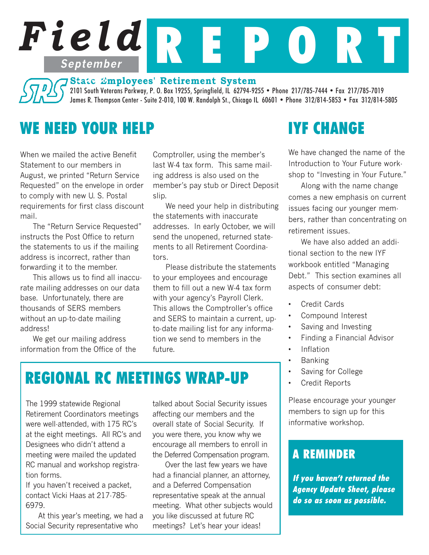# *Field* R E P O R T **September**

## **State Employees' Retirement System 1999**

2101 South Veterans Parkway, P. O. Box 19255, Springfield, IL 62794-9255 • Phone 217/785-7444 • Fax 217/785-7019 James R. Thompson Center - Suite 2-010, 100 W. Randolph St., Chicago IL 60601 • Phone 312/814-5853 • Fax 312/814-5805

# WE NEED YOUR HELP

When we mailed the active Benefit Statement to our members in August, we printed "Return Service Requested" on the envelope in order to comply with new U. S. Postal requirements for first class discount mail.

The "Return Service Requested" instructs the Post Office to return the statements to us if the mailing address is incorrect, rather than forwarding it to the member.

This allows us to find all inaccurate mailing addresses on our data base. Unfortunately, there are thousands of SERS members without an up-to-date mailing address!

We get our mailing address information from the Office of the

Comptroller, using the member's last W-4 tax form. This same mailing address is also used on the member's pay stub or Direct Deposit slip.

We need your help in distributing the statements with inaccurate addresses. In early October, we will send the unopened, returned statements to all Retirement Coordinators.

Please distribute the statements to your employees and encourage them to fill out a new W-4 tax form with your agency's Payroll Clerk. This allows the Comptroller's office and SERS to maintain a current, upto-date mailing list for any information we send to members in the future.

# REGIONAL RC MEETINGS WRAP-UP

The 1999 statewide Regional Retirement Coordinators meetings were well-attended, with 175 RC's at the eight meetings. All RC's and Designees who didn't attend a meeting were mailed the updated RC manual and workshop registration forms.

If you haven't received a packet, contact Vicki Haas at 217-785- 6979.

At this year's meeting, we had a Social Security representative who

talked about Social Security issues affecting our members and the overall state of Social Security. If you were there, you know why we encourage all members to enroll in the Deferred Compensation program.

Over the last few years we have had a financial planner, an attorney, and a Deferred Compensation representative speak at the annual meeting. What other subjects would you like discussed at future RC meetings? Let's hear your ideas!

# IYF CHANGE

We have changed the name of the Introduction to Your Future workshop to "Investing in Your Future."

Along with the name change comes a new emphasis on current issues facing our younger members, rather than concentrating on retirement issues.

We have also added an additional section to the new IYF workbook entitled "Managing Debt." This section examines all aspects of consumer debt:

- Credit Cards
- Compound Interest
- Saving and Investing
- Finding a Financial Advisor
- Inflation
- Banking
- Saving for College
- Credit Reports

Please encourage your younger members to sign up for this informative workshop.

## A REMINDER

If you haven't returned the Agency Update Sheet, please do so as soon as possible.